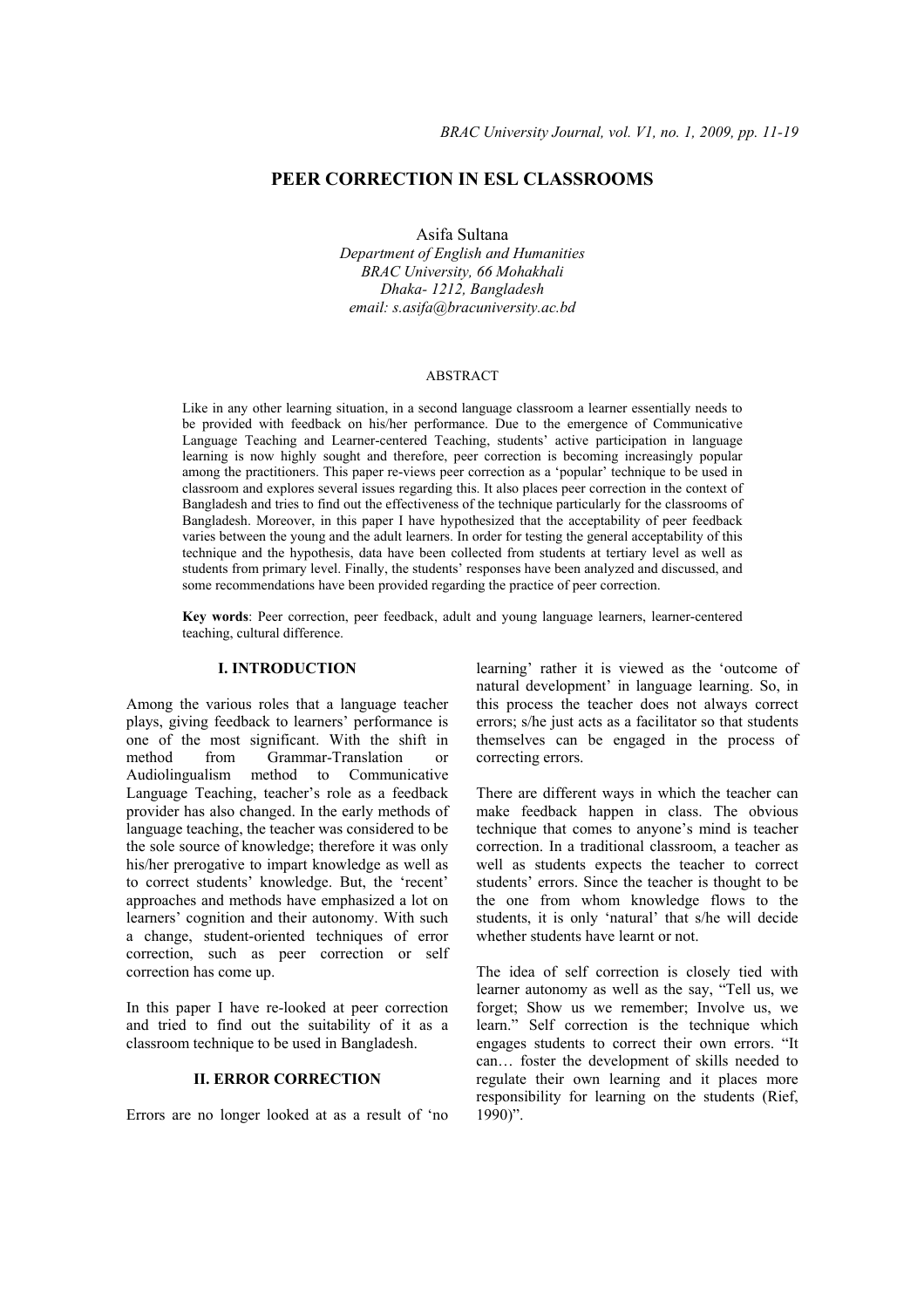# **PEER CORRECTION IN ESL CLASSROOMS**

Asifa Sultana

*Department of English and Humanities BRAC University, 66 Mohakhali Dhaka- 1212, Bangladesh email: s.asifa@bracuniversity.ac.bd* 

#### ABSTRACT

Like in any other learning situation, in a second language classroom a learner essentially needs to be provided with feedback on his/her performance. Due to the emergence of Communicative Language Teaching and Learner-centered Teaching, students' active participation in language learning is now highly sought and therefore, peer correction is becoming increasingly popular among the practitioners. This paper re-views peer correction as a 'popular' technique to be used in classroom and explores several issues regarding this. It also places peer correction in the context of Bangladesh and tries to find out the effectiveness of the technique particularly for the classrooms of Bangladesh. Moreover, in this paper I have hypothesized that the acceptability of peer feedback varies between the young and the adult learners. In order for testing the general acceptability of this technique and the hypothesis, data have been collected from students at tertiary level as well as students from primary level. Finally, the students' responses have been analyzed and discussed, and some recommendations have been provided regarding the practice of peer correction.

**Key words**: Peer correction, peer feedback, adult and young language learners, learner-centered teaching, cultural difference.

# **I. INTRODUCTION**

Among the various roles that a language teacher plays, giving feedback to learners' performance is one of the most significant. With the shift in method from Grammar-Translation or Audiolingualism method to Communicative Language Teaching, teacher's role as a feedback provider has also changed. In the early methods of language teaching, the teacher was considered to be the sole source of knowledge; therefore it was only his/her prerogative to impart knowledge as well as to correct students' knowledge. But, the 'recent' approaches and methods have emphasized a lot on learners' cognition and their autonomy. With such a change, student-oriented techniques of error correction, such as peer correction or self correction has come up.

In this paper I have re-looked at peer correction and tried to find out the suitability of it as a classroom technique to be used in Bangladesh.

# **II. ERROR CORRECTION**

Errors are no longer looked at as a result of 'no

learning' rather it is viewed as the 'outcome of natural development' in language learning. So, in this process the teacher does not always correct errors; s/he just acts as a facilitator so that students themselves can be engaged in the process of correcting errors.

There are different ways in which the teacher can make feedback happen in class. The obvious technique that comes to anyone's mind is teacher correction. In a traditional classroom, a teacher as well as students expects the teacher to correct students' errors. Since the teacher is thought to be the one from whom knowledge flows to the students, it is only 'natural' that s/he will decide whether students have learnt or not.

The idea of self correction is closely tied with learner autonomy as well as the say, "Tell us, we forget; Show us we remember; Involve us, we learn." Self correction is the technique which engages students to correct their own errors. "It can… foster the development of skills needed to regulate their own learning and it places more responsibility for learning on the students (Rief,  $1990$ ".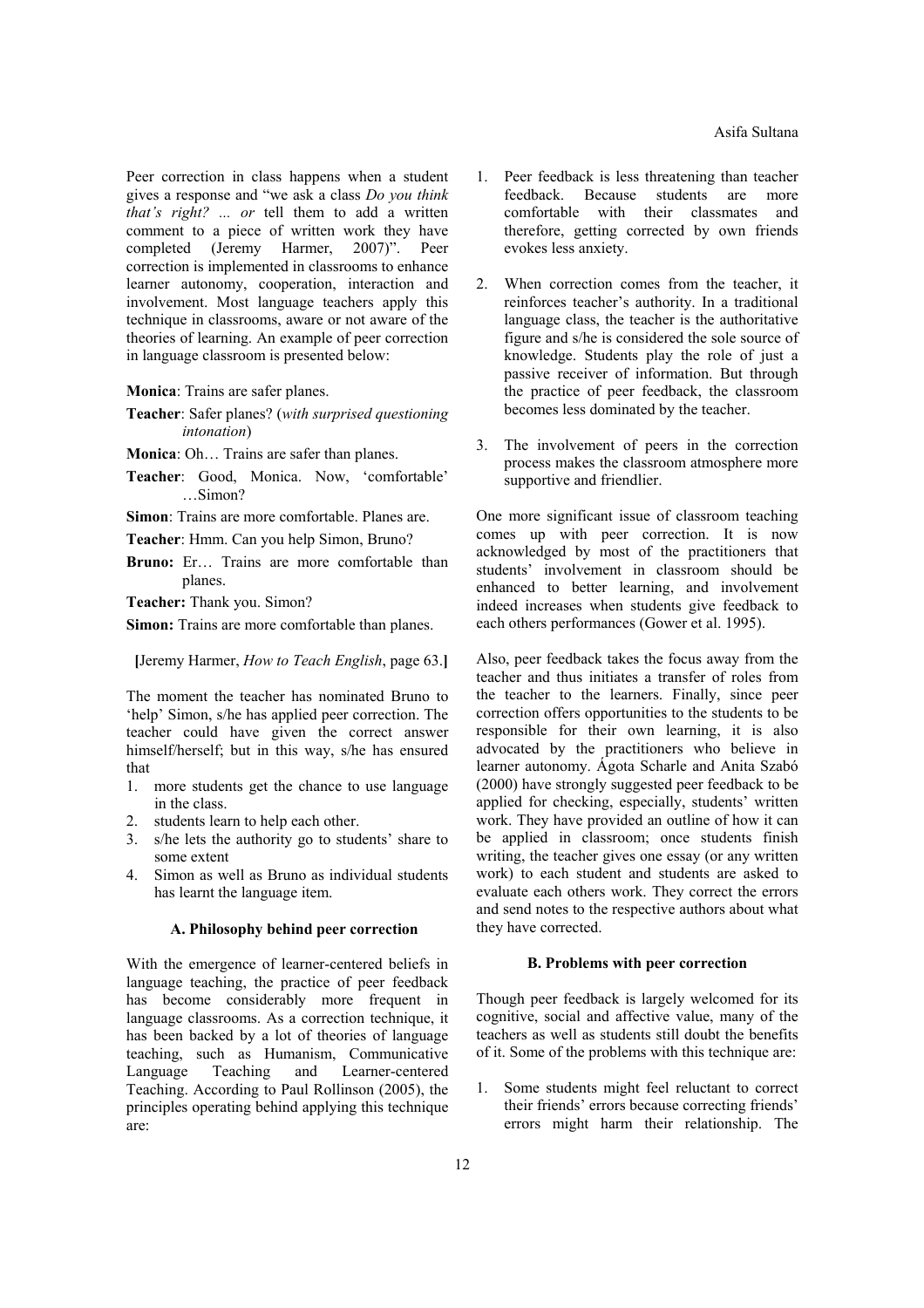Peer correction in class happens when a student gives a response and "we ask a class *Do you think that's right? ... or* tell them to add a written comment to a piece of written work they have completed (Jeremy Harmer, 2007)". Peer correction is implemented in classrooms to enhance learner autonomy, cooperation, interaction and involvement. Most language teachers apply this technique in classrooms, aware or not aware of the theories of learning. An example of peer correction in language classroom is presented below:

**Monica**: Trains are safer planes.

- **Teacher**: Safer planes? (*with surprised questioning intonation*)
- **Monica**: Oh… Trains are safer than planes.
- **Teacher**: Good, Monica. Now, 'comfortable'  $S_{\rm imon}$ ?

**Simon**: Trains are more comfortable. Planes are.

**Teacher**: Hmm. Can you help Simon, Bruno?

**Bruno:** Er… Trains are more comfortable than planes.

**Teacher:** Thank you. Simon?

**Simon:** Trains are more comfortable than planes.

**[**Jeremy Harmer, *How to Teach English*, page 63.**]** 

The moment the teacher has nominated Bruno to 'help' Simon, s/he has applied peer correction. The teacher could have given the correct answer himself/herself; but in this way, s/he has ensured that

- 1. more students get the chance to use language in the class.
- 2. students learn to help each other.
- 3. s/he lets the authority go to students' share to some extent
- 4. Simon as well as Bruno as individual students has learnt the language item.

## **A. Philosophy behind peer correction**

With the emergence of learner-centered beliefs in language teaching, the practice of peer feedback has become considerably more frequent in language classrooms. As a correction technique, it has been backed by a lot of theories of language teaching, such as Humanism, Communicative Language Teaching and Learner-centered Teaching. According to Paul Rollinson (2005), the principles operating behind applying this technique are:

- 1. Peer feedback is less threatening than teacher feedback. Because students are more comfortable with their classmates and therefore, getting corrected by own friends evokes less anxiety.
- 2. When correction comes from the teacher, it reinforces teacher's authority. In a traditional language class, the teacher is the authoritative figure and s/he is considered the sole source of knowledge. Students play the role of just a passive receiver of information. But through the practice of peer feedback, the classroom becomes less dominated by the teacher.
- 3. The involvement of peers in the correction process makes the classroom atmosphere more supportive and friendlier.

One more significant issue of classroom teaching comes up with peer correction. It is now acknowledged by most of the practitioners that students' involvement in classroom should be enhanced to better learning, and involvement indeed increases when students give feedback to each others performances (Gower et al. 1995).

Also, peer feedback takes the focus away from the teacher and thus initiates a transfer of roles from the teacher to the learners. Finally, since peer correction offers opportunities to the students to be responsible for their own learning, it is also advocated by the practitioners who believe in learner autonomy. Ágota Scharle and Anita Szabó (2000) have strongly suggested peer feedback to be applied for checking, especially, students' written work. They have provided an outline of how it can be applied in classroom; once students finish writing, the teacher gives one essay (or any written work) to each student and students are asked to evaluate each others work. They correct the errors and send notes to the respective authors about what they have corrected.

### **B. Problems with peer correction**

Though peer feedback is largely welcomed for its cognitive, social and affective value, many of the teachers as well as students still doubt the benefits of it. Some of the problems with this technique are:

1. Some students might feel reluctant to correct their friends' errors because correcting friends' errors might harm their relationship. The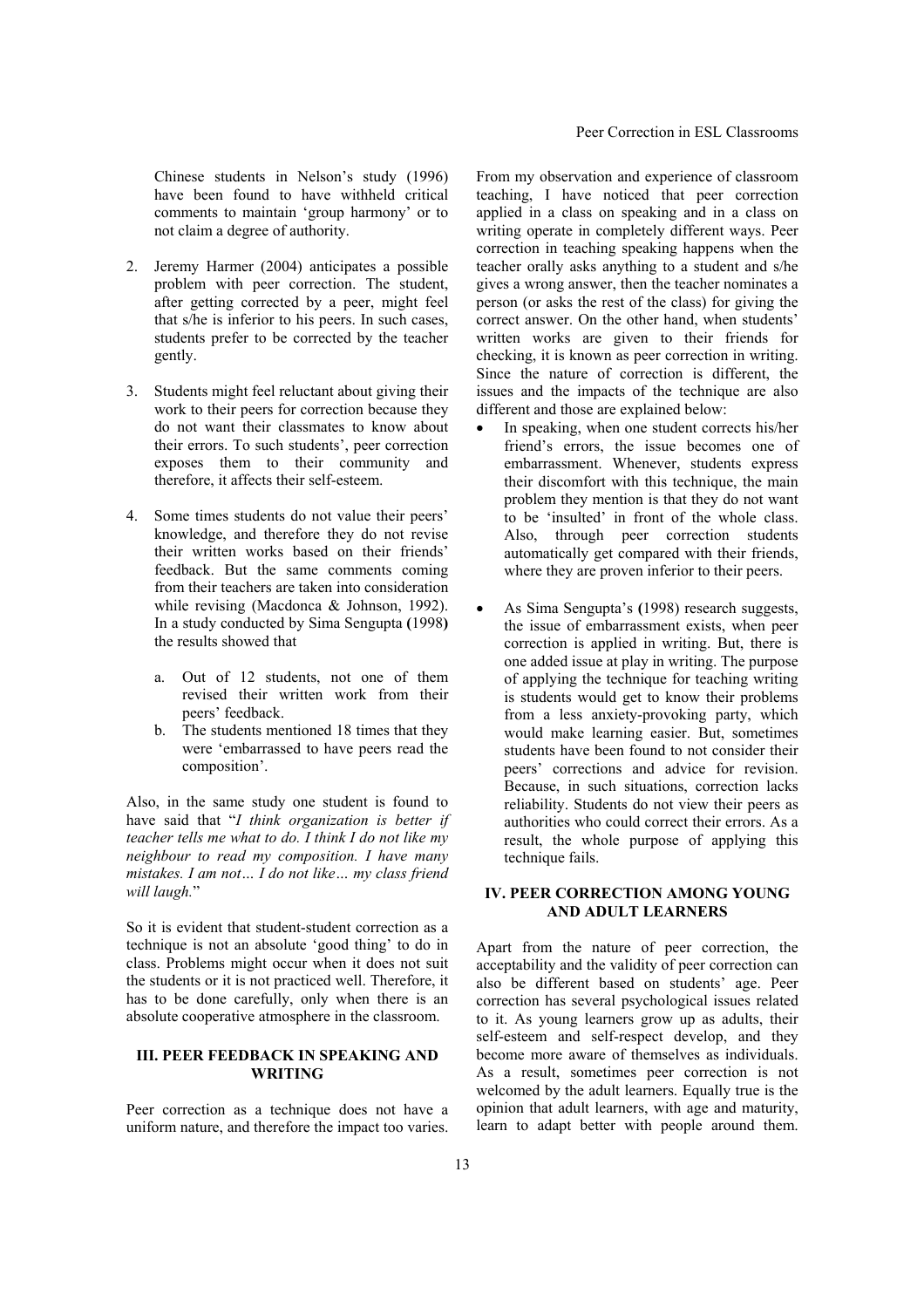Chinese students in Nelson's study (1996) have been found to have withheld critical comments to maintain 'group harmony' or to not claim a degree of authority.

- 2. Jeremy Harmer (2004) anticipates a possible problem with peer correction. The student, after getting corrected by a peer, might feel that s/he is inferior to his peers. In such cases, students prefer to be corrected by the teacher gently.
- 3. Students might feel reluctant about giving their work to their peers for correction because they do not want their classmates to know about their errors. To such students', peer correction exposes them to their community and therefore, it affects their self-esteem.
- 4. Some times students do not value their peers' knowledge, and therefore they do not revise their written works based on their friends' feedback. But the same comments coming from their teachers are taken into consideration while revising (Macdonca & Johnson, 1992). In a study conducted by Sima Sengupta **(**1998**)** the results showed that
	- a. Out of 12 students, not one of them revised their written work from their peers' feedback.
	- b. The students mentioned 18 times that they were 'embarrassed to have peers read the composition'.

Also, in the same study one student is found to have said that "*I think organization is better if teacher tells me what to do. I think I do not like my neighbour to read my composition. I have many mistakes. I am not… I do not like… my class friend will laugh.*"

So it is evident that student-student correction as a technique is not an absolute 'good thing' to do in class. Problems might occur when it does not suit the students or it is not practiced well. Therefore, it has to be done carefully, only when there is an absolute cooperative atmosphere in the classroom.

## **III. PEER FEEDBACK IN SPEAKING AND WRITING**

Peer correction as a technique does not have a uniform nature, and therefore the impact too varies.

From my observation and experience of classroom teaching, I have noticed that peer correction applied in a class on speaking and in a class on writing operate in completely different ways. Peer correction in teaching speaking happens when the teacher orally asks anything to a student and s/he gives a wrong answer, then the teacher nominates a person (or asks the rest of the class) for giving the correct answer. On the other hand, when students' written works are given to their friends for checking, it is known as peer correction in writing. Since the nature of correction is different, the issues and the impacts of the technique are also different and those are explained below:

- In speaking, when one student corrects his/her friend's errors, the issue becomes one of embarrassment. Whenever, students express their discomfort with this technique, the main problem they mention is that they do not want to be 'insulted' in front of the whole class. Also, through peer correction students automatically get compared with their friends, where they are proven inferior to their peers.
- As Sima Sengupta's **(**1998) research suggests, the issue of embarrassment exists, when peer correction is applied in writing. But, there is one added issue at play in writing. The purpose of applying the technique for teaching writing is students would get to know their problems from a less anxiety-provoking party, which would make learning easier. But, sometimes students have been found to not consider their peers' corrections and advice for revision. Because, in such situations, correction lacks reliability. Students do not view their peers as authorities who could correct their errors. As a result, the whole purpose of applying this technique fails.

# **IV. PEER CORRECTION AMONG YOUNG AND ADULT LEARNERS**

Apart from the nature of peer correction, the acceptability and the validity of peer correction can also be different based on students' age. Peer correction has several psychological issues related to it. As young learners grow up as adults, their self-esteem and self-respect develop, and they become more aware of themselves as individuals. As a result, sometimes peer correction is not welcomed by the adult learners. Equally true is the opinion that adult learners, with age and maturity, learn to adapt better with people around them.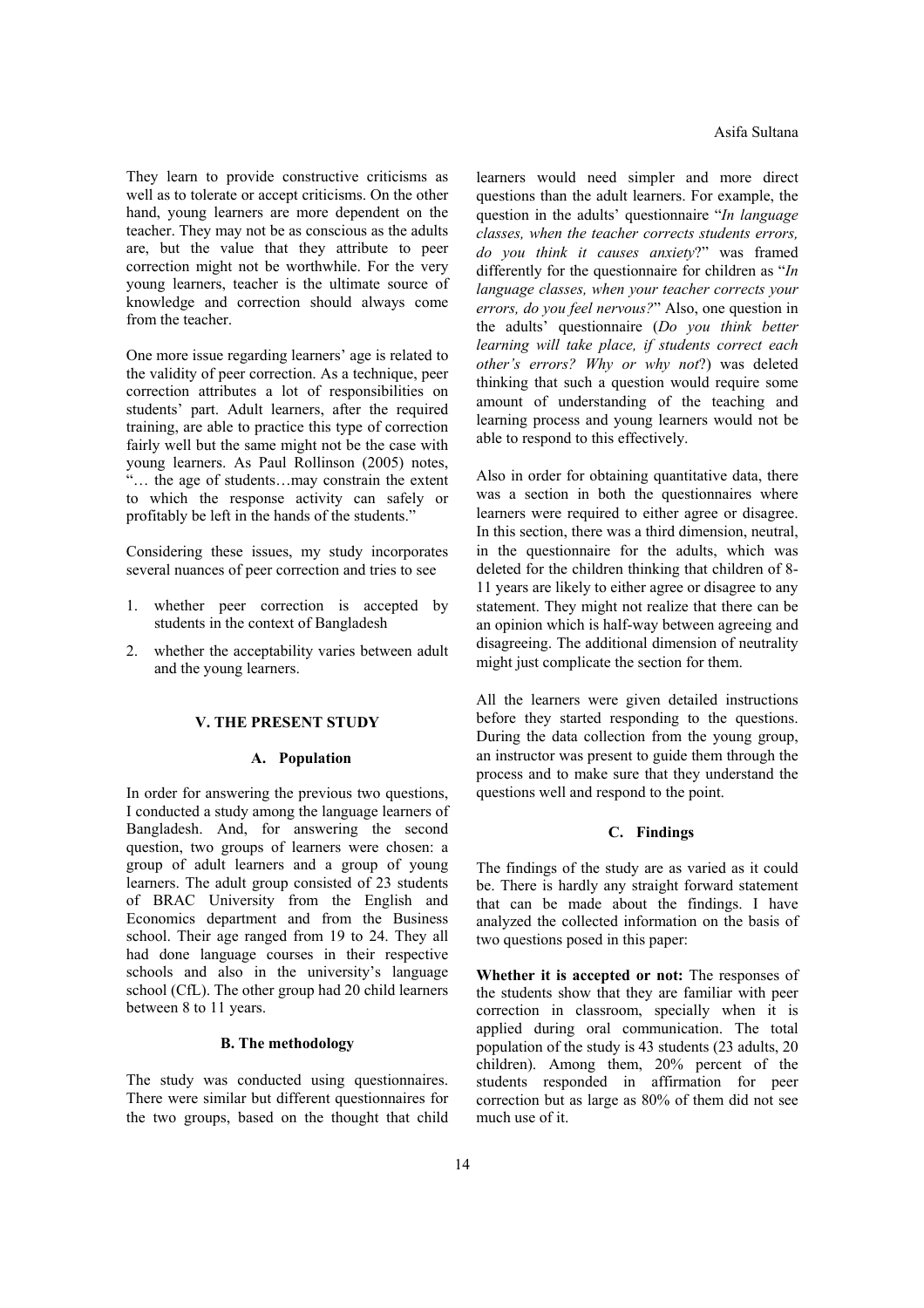They learn to provide constructive criticisms as well as to tolerate or accept criticisms. On the other hand, young learners are more dependent on the teacher. They may not be as conscious as the adults are, but the value that they attribute to peer correction might not be worthwhile. For the very young learners, teacher is the ultimate source of knowledge and correction should always come from the teacher

One more issue regarding learners' age is related to the validity of peer correction. As a technique, peer correction attributes a lot of responsibilities on students' part. Adult learners, after the required training, are able to practice this type of correction fairly well but the same might not be the case with young learners. As Paul Rollinson (2005) notes, "… the age of students…may constrain the extent to which the response activity can safely or profitably be left in the hands of the students."

Considering these issues, my study incorporates several nuances of peer correction and tries to see

- 1. whether peer correction is accepted by students in the context of Bangladesh
- 2. whether the acceptability varies between adult and the young learners.

#### **V. THE PRESENT STUDY**

#### **A. Population**

In order for answering the previous two questions, I conducted a study among the language learners of Bangladesh. And, for answering the second question, two groups of learners were chosen: a group of adult learners and a group of young learners. The adult group consisted of 23 students of BRAC University from the English and Economics department and from the Business school. Their age ranged from 19 to 24. They all had done language courses in their respective schools and also in the university's language school (CfL). The other group had 20 child learners between 8 to 11 years.

## **B. The methodology**

The study was conducted using questionnaires. There were similar but different questionnaires for the two groups, based on the thought that child

learners would need simpler and more direct questions than the adult learners. For example, the question in the adults' questionnaire "*In language classes, when the teacher corrects students errors, do you think it causes anxiety*?" was framed differently for the questionnaire for children as "*In language classes, when your teacher corrects your errors, do you feel nervous?*" Also, one question in the adults' questionnaire (*Do you think better learning will take place, if students correct each other's errors? Why or why not*?) was deleted thinking that such a question would require some amount of understanding of the teaching and learning process and young learners would not be able to respond to this effectively.

Also in order for obtaining quantitative data, there was a section in both the questionnaires where learners were required to either agree or disagree. In this section, there was a third dimension, neutral, in the questionnaire for the adults, which was deleted for the children thinking that children of 8- 11 years are likely to either agree or disagree to any statement. They might not realize that there can be an opinion which is half-way between agreeing and disagreeing. The additional dimension of neutrality might just complicate the section for them.

All the learners were given detailed instructions before they started responding to the questions. During the data collection from the young group, an instructor was present to guide them through the process and to make sure that they understand the questions well and respond to the point.

#### **C. Findings**

The findings of the study are as varied as it could be. There is hardly any straight forward statement that can be made about the findings. I have analyzed the collected information on the basis of two questions posed in this paper:

**Whether it is accepted or not:** The responses of the students show that they are familiar with peer correction in classroom, specially when it is applied during oral communication. The total population of the study is 43 students (23 adults, 20 children). Among them, 20% percent of the students responded in affirmation for peer correction but as large as 80% of them did not see much use of it.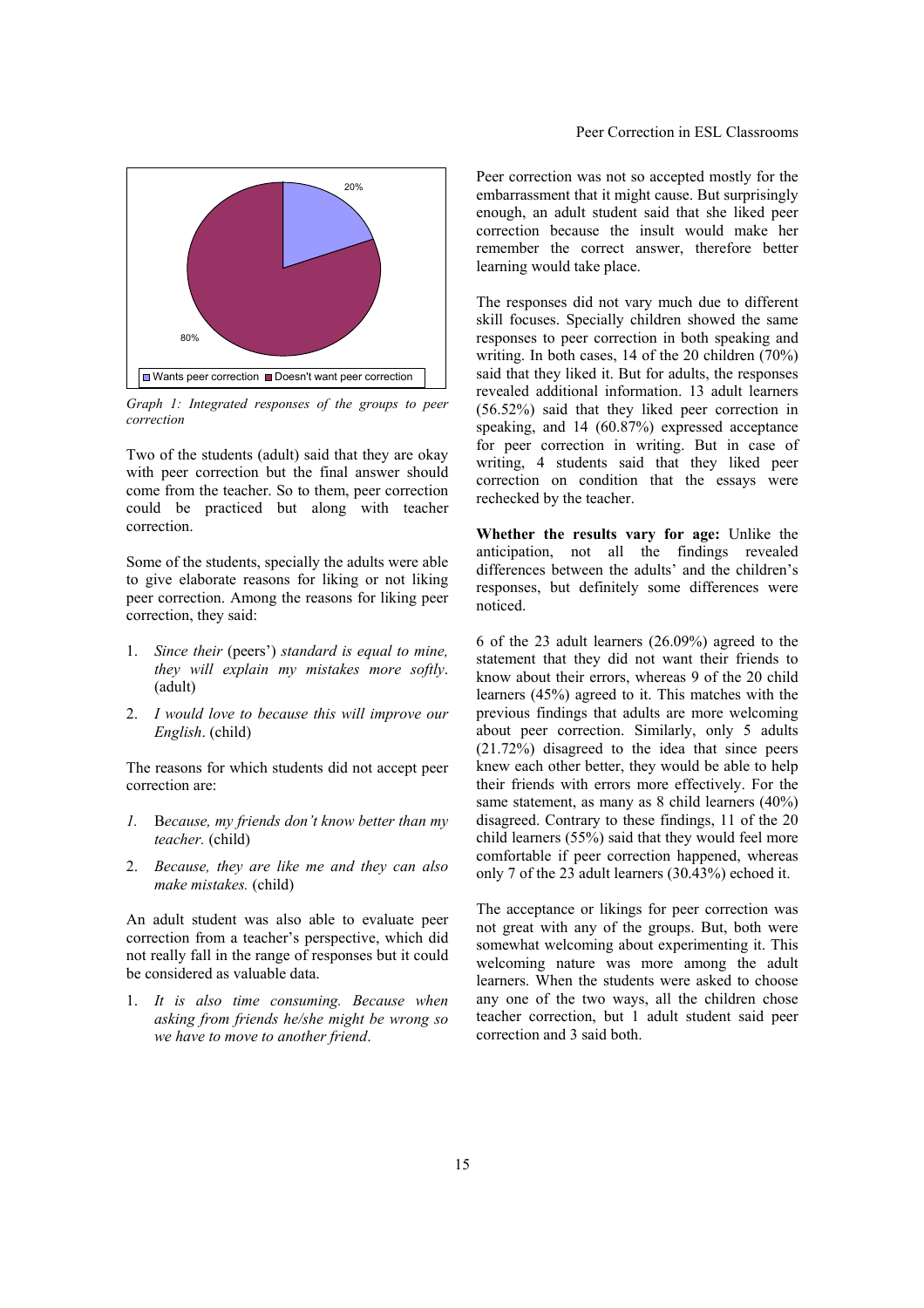

*Graph 1: Integrated responses of the groups to peer correction* 

Two of the students (adult) said that they are okay with peer correction but the final answer should come from the teacher. So to them, peer correction could be practiced but along with teacher correction.

Some of the students, specially the adults were able to give elaborate reasons for liking or not liking peer correction. Among the reasons for liking peer correction, they said:

- 1. *Since their* (peers') *standard is equal to mine, they will explain my mistakes more softly*. (adult)
- 2. *I would love to because this will improve our English*. (child)

The reasons for which students did not accept peer correction are:

- *1.* B*ecause, my friends don't know better than my teacher.* (child)
- 2. *Because, they are like me and they can also make mistakes.* (child)

An adult student was also able to evaluate peer correction from a teacher's perspective, which did not really fall in the range of responses but it could be considered as valuable data.

1. *It is also time consuming. Because when asking from friends he/she might be wrong so we have to move to another friend*.

Peer correction was not so accepted mostly for the embarrassment that it might cause. But surprisingly enough, an adult student said that she liked peer correction because the insult would make her remember the correct answer, therefore better learning would take place.

The responses did not vary much due to different skill focuses. Specially children showed the same responses to peer correction in both speaking and writing. In both cases, 14 of the 20 children (70%) said that they liked it. But for adults, the responses revealed additional information. 13 adult learners (56.52%) said that they liked peer correction in speaking, and 14 (60.87%) expressed acceptance for peer correction in writing. But in case of writing, 4 students said that they liked peer correction on condition that the essays were rechecked by the teacher.

**Whether the results vary for age:** Unlike the anticipation, not all the findings revealed differences between the adults' and the children's responses, but definitely some differences were noticed.

6 of the 23 adult learners (26.09%) agreed to the statement that they did not want their friends to know about their errors, whereas 9 of the 20 child learners (45%) agreed to it. This matches with the previous findings that adults are more welcoming about peer correction. Similarly, only 5 adults (21.72%) disagreed to the idea that since peers knew each other better, they would be able to help their friends with errors more effectively. For the same statement, as many as 8 child learners (40%) disagreed. Contrary to these findings, 11 of the 20 child learners (55%) said that they would feel more comfortable if peer correction happened, whereas only 7 of the 23 adult learners (30.43%) echoed it.

The acceptance or likings for peer correction was not great with any of the groups. But, both were somewhat welcoming about experimenting it. This welcoming nature was more among the adult learners. When the students were asked to choose any one of the two ways, all the children chose teacher correction, but 1 adult student said peer correction and 3 said both.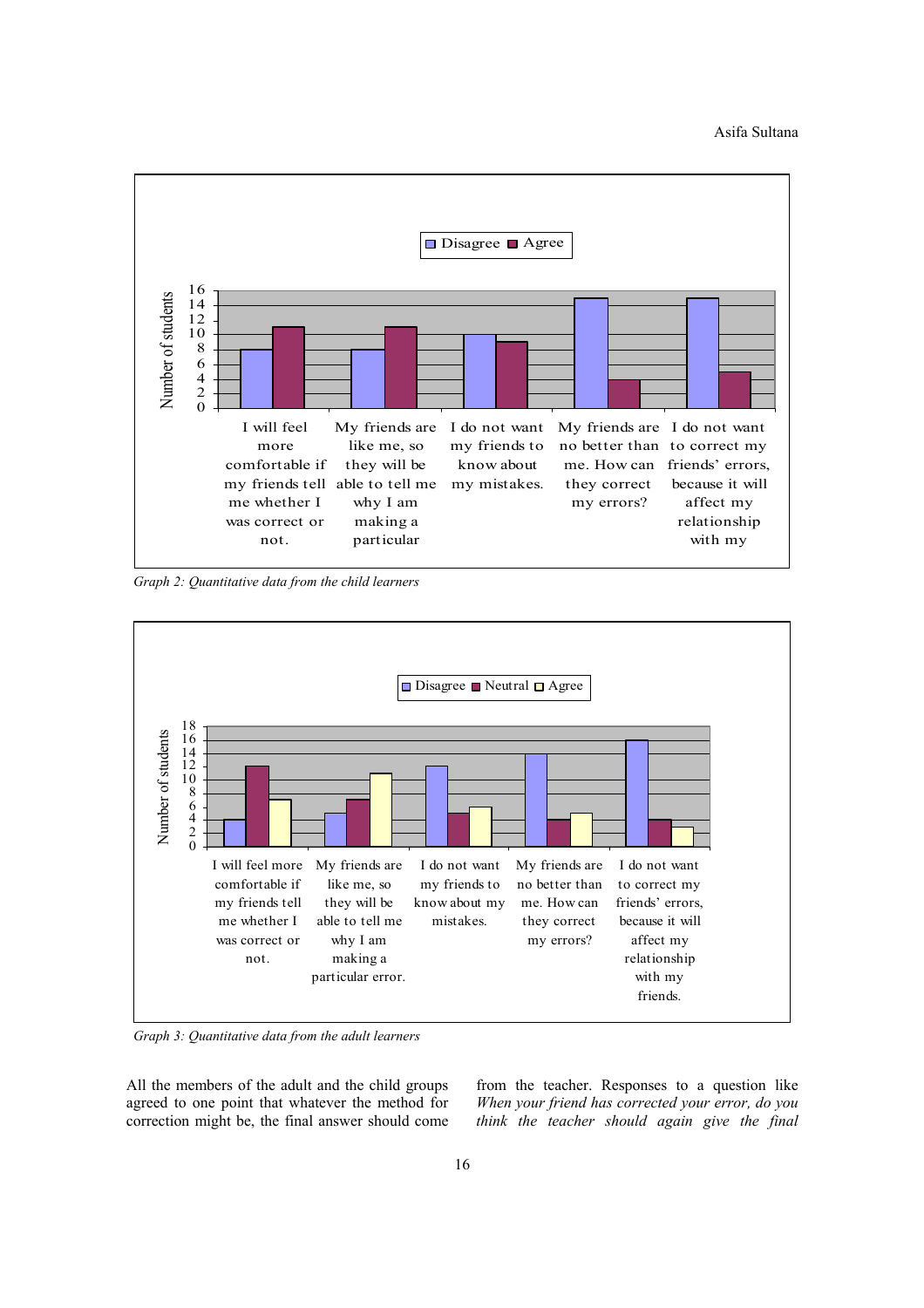

 *Graph 2: Quantitative data from the child learners* 



 *Graph 3: Quantitative data from the adult learners* 

All the members of the adult and the child groups agreed to one point that whatever the method for correction might be, the final answer should come from the teacher. Responses to a question like *When your friend has corrected your error, do you think the teacher should again give the final*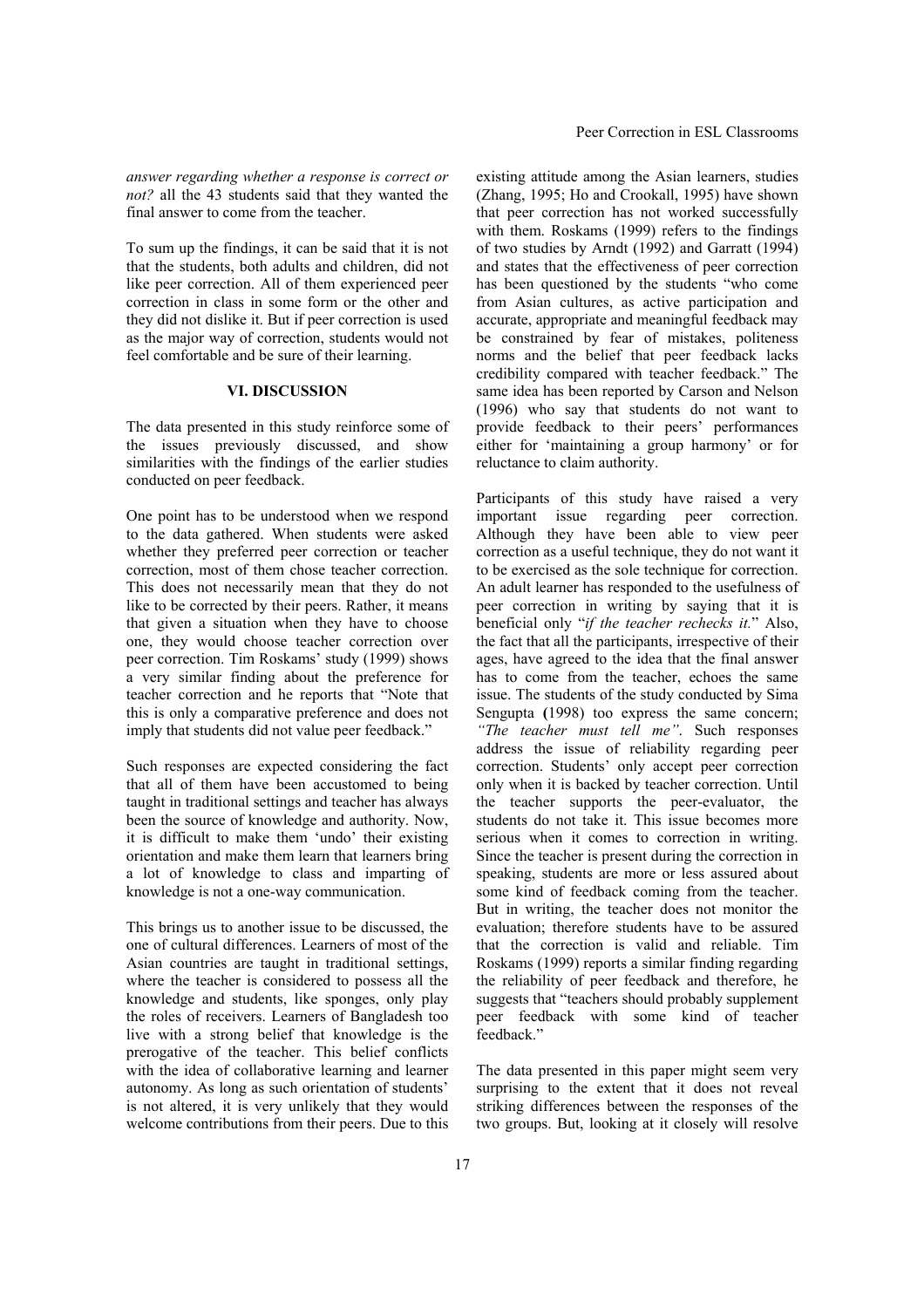*answer regarding whether a response is correct or not?* all the 43 students said that they wanted the final answer to come from the teacher.

To sum up the findings, it can be said that it is not that the students, both adults and children, did not like peer correction. All of them experienced peer correction in class in some form or the other and they did not dislike it. But if peer correction is used as the major way of correction, students would not feel comfortable and be sure of their learning.

#### **VI. DISCUSSION**

The data presented in this study reinforce some of the issues previously discussed, and show similarities with the findings of the earlier studies conducted on peer feedback.

One point has to be understood when we respond to the data gathered. When students were asked whether they preferred peer correction or teacher correction, most of them chose teacher correction. This does not necessarily mean that they do not like to be corrected by their peers. Rather, it means that given a situation when they have to choose one, they would choose teacher correction over peer correction. Tim Roskams' study (1999) shows a very similar finding about the preference for teacher correction and he reports that "Note that this is only a comparative preference and does not imply that students did not value peer feedback."

Such responses are expected considering the fact that all of them have been accustomed to being taught in traditional settings and teacher has always been the source of knowledge and authority. Now, it is difficult to make them 'undo' their existing orientation and make them learn that learners bring a lot of knowledge to class and imparting of knowledge is not a one-way communication.

This brings us to another issue to be discussed, the one of cultural differences. Learners of most of the Asian countries are taught in traditional settings, where the teacher is considered to possess all the knowledge and students, like sponges, only play the roles of receivers. Learners of Bangladesh too live with a strong belief that knowledge is the prerogative of the teacher. This belief conflicts with the idea of collaborative learning and learner autonomy. As long as such orientation of students' is not altered, it is very unlikely that they would welcome contributions from their peers. Due to this existing attitude among the Asian learners, studies (Zhang, 1995; Ho and Crookall, 1995) have shown that peer correction has not worked successfully with them. Roskams (1999) refers to the findings of two studies by Arndt (1992) and Garratt (1994) and states that the effectiveness of peer correction has been questioned by the students "who come from Asian cultures, as active participation and accurate, appropriate and meaningful feedback may be constrained by fear of mistakes, politeness norms and the belief that peer feedback lacks credibility compared with teacher feedback." The same idea has been reported by Carson and Nelson (1996) who say that students do not want to provide feedback to their peers' performances either for 'maintaining a group harmony' or for reluctance to claim authority.

Participants of this study have raised a very important issue regarding peer correction. Although they have been able to view peer correction as a useful technique, they do not want it to be exercised as the sole technique for correction. An adult learner has responded to the usefulness of peer correction in writing by saying that it is beneficial only "*if the teacher rechecks it.*" Also, the fact that all the participants, irrespective of their ages, have agreed to the idea that the final answer has to come from the teacher, echoes the same issue. The students of the study conducted by Sima Sengupta **(**1998) too express the same concern; *"The teacher must tell me"*. Such responses address the issue of reliability regarding peer correction. Students' only accept peer correction only when it is backed by teacher correction. Until the teacher supports the peer-evaluator, the students do not take it. This issue becomes more serious when it comes to correction in writing. Since the teacher is present during the correction in speaking, students are more or less assured about some kind of feedback coming from the teacher. But in writing, the teacher does not monitor the evaluation; therefore students have to be assured that the correction is valid and reliable. Tim Roskams (1999) reports a similar finding regarding the reliability of peer feedback and therefore, he suggests that "teachers should probably supplement peer feedback with some kind of teacher feedback"

The data presented in this paper might seem very surprising to the extent that it does not reveal striking differences between the responses of the two groups. But, looking at it closely will resolve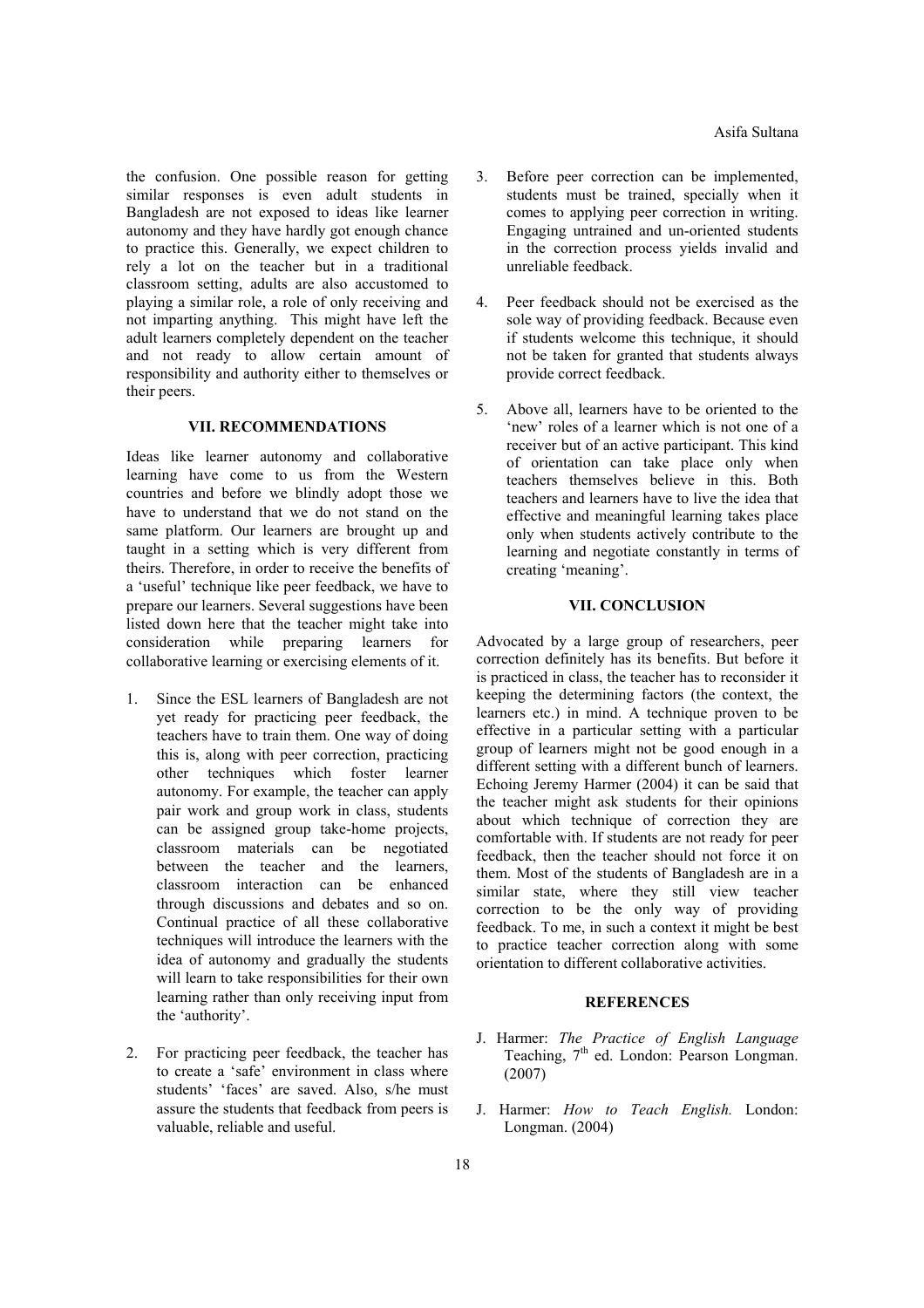the confusion. One possible reason for getting similar responses is even adult students in Bangladesh are not exposed to ideas like learner autonomy and they have hardly got enough chance to practice this. Generally, we expect children to rely a lot on the teacher but in a traditional classroom setting, adults are also accustomed to playing a similar role, a role of only receiving and not imparting anything. This might have left the adult learners completely dependent on the teacher and not ready to allow certain amount of responsibility and authority either to themselves or their peers.

#### **VII. RECOMMENDATIONS**

Ideas like learner autonomy and collaborative learning have come to us from the Western countries and before we blindly adopt those we have to understand that we do not stand on the same platform. Our learners are brought up and taught in a setting which is very different from theirs. Therefore, in order to receive the benefits of a 'useful' technique like peer feedback, we have to prepare our learners. Several suggestions have been listed down here that the teacher might take into consideration while preparing learners for collaborative learning or exercising elements of it.

- 1. Since the ESL learners of Bangladesh are not yet ready for practicing peer feedback, the teachers have to train them. One way of doing this is, along with peer correction, practicing other techniques which foster learner autonomy. For example, the teacher can apply pair work and group work in class, students can be assigned group take-home projects, classroom materials can be negotiated between the teacher and the learners, classroom interaction can be enhanced through discussions and debates and so on. Continual practice of all these collaborative techniques will introduce the learners with the idea of autonomy and gradually the students will learn to take responsibilities for their own learning rather than only receiving input from the 'authority'.
- 2. For practicing peer feedback, the teacher has to create a 'safe' environment in class where students' 'faces' are saved. Also, s/he must assure the students that feedback from peers is valuable, reliable and useful.
- 3. Before peer correction can be implemented, students must be trained, specially when it comes to applying peer correction in writing. Engaging untrained and un-oriented students in the correction process yields invalid and unreliable feedback.
- 4. Peer feedback should not be exercised as the sole way of providing feedback. Because even if students welcome this technique, it should not be taken for granted that students always provide correct feedback.
- 5. Above all, learners have to be oriented to the 'new' roles of a learner which is not one of a receiver but of an active participant. This kind of orientation can take place only when teachers themselves believe in this. Both teachers and learners have to live the idea that effective and meaningful learning takes place only when students actively contribute to the learning and negotiate constantly in terms of creating 'meaning'.

## **VII. CONCLUSION**

Advocated by a large group of researchers, peer correction definitely has its benefits. But before it is practiced in class, the teacher has to reconsider it keeping the determining factors (the context, the learners etc.) in mind. A technique proven to be effective in a particular setting with a particular group of learners might not be good enough in a different setting with a different bunch of learners. Echoing Jeremy Harmer (2004) it can be said that the teacher might ask students for their opinions about which technique of correction they are comfortable with. If students are not ready for peer feedback, then the teacher should not force it on them. Most of the students of Bangladesh are in a similar state, where they still view teacher correction to be the only way of providing feedback. To me, in such a context it might be best to practice teacher correction along with some orientation to different collaborative activities.

### **REFERENCES**

- J. Harmer: *The Practice of English Language* Teaching,  $7<sup>th</sup>$  ed. London: Pearson Longman. (2007)
- J. Harmer: *How to Teach English.* London: Longman. (2004)